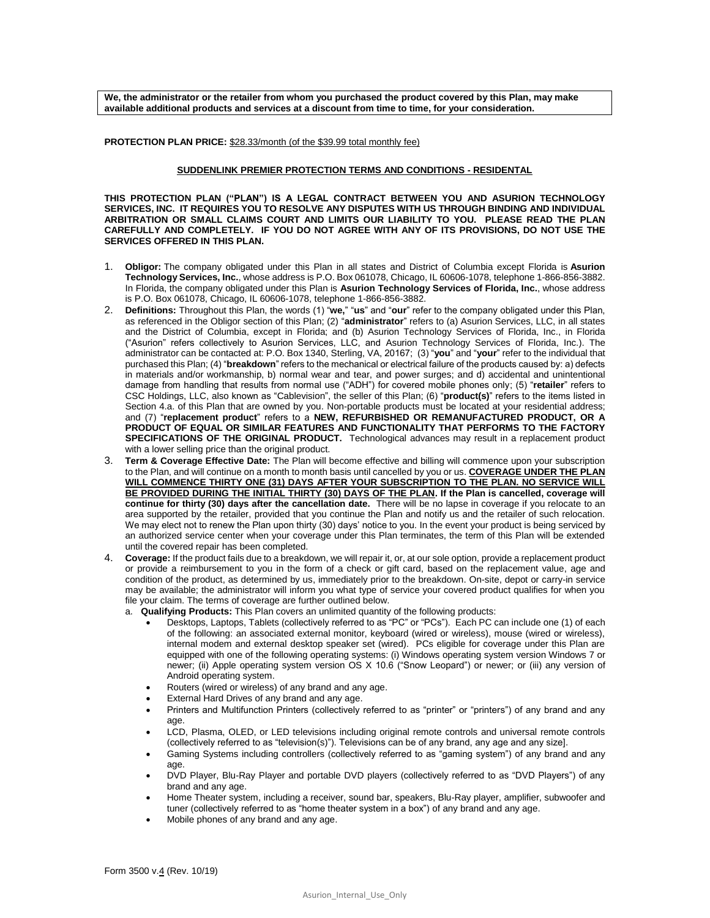**We, the administrator or the retailer from whom you purchased the product covered by this Plan, may make available additional products and services at a discount from time to time, for your consideration.** 

**PROTECTION PLAN PRICE:** \$28.33/month (of the \$39.99 total monthly fee)

## **SUDDENLINK PREMIER PROTECTION TERMS AND CONDITIONS - RESIDENTAL**

**THIS PROTECTION PLAN ("PLAN") IS A LEGAL CONTRACT BETWEEN YOU AND ASURION TECHNOLOGY SERVICES, INC. IT REQUIRES YOU TO RESOLVE ANY DISPUTES WITH US THROUGH BINDING AND INDIVIDUAL ARBITRATION OR SMALL CLAIMS COURT AND LIMITS OUR LIABILITY TO YOU. PLEASE READ THE PLAN CAREFULLY AND COMPLETELY. IF YOU DO NOT AGREE WITH ANY OF ITS PROVISIONS, DO NOT USE THE SERVICES OFFERED IN THIS PLAN.**

- 1. **Obligor:** The company obligated under this Plan in all states and District of Columbia except Florida is **Asurion Technology Services, Inc.**, whose address is P.O. Box 061078, Chicago, IL 60606-1078, telephone 1-866-856-3882. In Florida, the company obligated under this Plan is **Asurion Technology Services of Florida, Inc.**, whose address is P.O. Box 061078, Chicago, IL 60606-1078, telephone 1-866-856-3882.
- 2. **Definitions:** Throughout this Plan, the words (1) "**we,**" "**us**" and "**our**" refer to the company obligated under this Plan, as referenced in the Obligor section of this Plan; (2) "**administrator**" refers to (a) Asurion Services, LLC, in all states and the District of Columbia, except in Florida; and (b) Asurion Technology Services of Florida, Inc., in Florida ("Asurion" refers collectively to Asurion Services, LLC, and Asurion Technology Services of Florida, Inc.). The administrator can be contacted at: P.O. Box 1340, Sterling, VA, 20167; (3) "**you**" and "**your**" refer to the individual that purchased this Plan; (4) "**breakdown**" refers to the mechanical or electrical failure of the products caused by: a) defects in materials and/or workmanship, b) normal wear and tear, and power surges; and d) accidental and unintentional damage from handling that results from normal use ("ADH") for covered mobile phones only; (5) "**retailer**" refers to CSC Holdings, LLC, also known as "Cablevision", the seller of this Plan; (6) "**product(s)**" refers to the items listed in Section 4.a. of this Plan that are owned by you. Non-portable products must be located at your residential address; and (7) "**replacement product**" refers to a **NEW, REFURBISHED OR REMANUFACTURED PRODUCT, OR A PRODUCT OF EQUAL OR SIMILAR FEATURES AND FUNCTIONALITY THAT PERFORMS TO THE FACTORY SPECIFICATIONS OF THE ORIGINAL PRODUCT.** Technological advances may result in a replacement product with a lower selling price than the original product.
- 3. **Term & Coverage Effective Date:** The Plan will become effective and billing will commence upon your subscription to the Plan, and will continue on a month to month basis until cancelled by you or us. **COVERAGE UNDER THE PLAN WILL COMMENCE THIRTY ONE (31) DAYS AFTER YOUR SUBSCRIPTION TO THE PLAN. NO SERVICE WILL BE PROVIDED DURING THE INITIAL THIRTY (30) DAYS OF THE PLAN. If the Plan is cancelled, coverage will continue for thirty (30) days after the cancellation date.** There will be no lapse in coverage if you relocate to an area supported by the retailer, provided that you continue the Plan and notify us and the retailer of such relocation. We may elect not to renew the Plan upon thirty (30) days' notice to you. In the event your product is being serviced by an authorized service center when your coverage under this Plan terminates, the term of this Plan will be extended until the covered repair has been completed.
- 4. **Coverage:** If the product fails due to a breakdown, we will repair it, or, at our sole option, provide a replacement product or provide a reimbursement to you in the form of a check or gift card, based on the replacement value, age and condition of the product, as determined by us, immediately prior to the breakdown. On-site, depot or carry-in service may be available; the administrator will inform you what type of service your covered product qualifies for when you file your claim. The terms of coverage are further outlined below.

a. **Qualifying Products:** This Plan covers an unlimited quantity of the following products:

- Desktops, Laptops, Tablets (collectively referred to as "PC" or "PCs"). Each PC can include one (1) of each of the following: an associated external monitor, keyboard (wired or wireless), mouse (wired or wireless), internal modem and external desktop speaker set (wired). PCs eligible for coverage under this Plan are equipped with one of the following operating systems: (i) Windows operating system version Windows 7 or newer; (ii) Apple operating system version OS X 10.6 ("Snow Leopard") or newer; or (iii) any version of Android operating system.
- Routers (wired or wireless) of any brand and any age.
- **External Hard Drives of any brand and any age.**
- Printers and Multifunction Printers (collectively referred to as "printer" or "printers") of any brand and any age.
- LCD, Plasma, OLED, or LED televisions including original remote controls and universal remote controls (collectively referred to as "television(s)"). Televisions can be of any brand, any age and any size].
- Gaming Systems including controllers (collectively referred to as "gaming system") of any brand and any age.
- DVD Player, Blu-Ray Player and portable DVD players (collectively referred to as "DVD Players") of any brand and any age.
- Home Theater system, including a receiver, sound bar, speakers, Blu-Ray player, amplifier, subwoofer and tuner (collectively referred to as "home theater system in a box") of any brand and any age.
- Mobile phones of any brand and any age.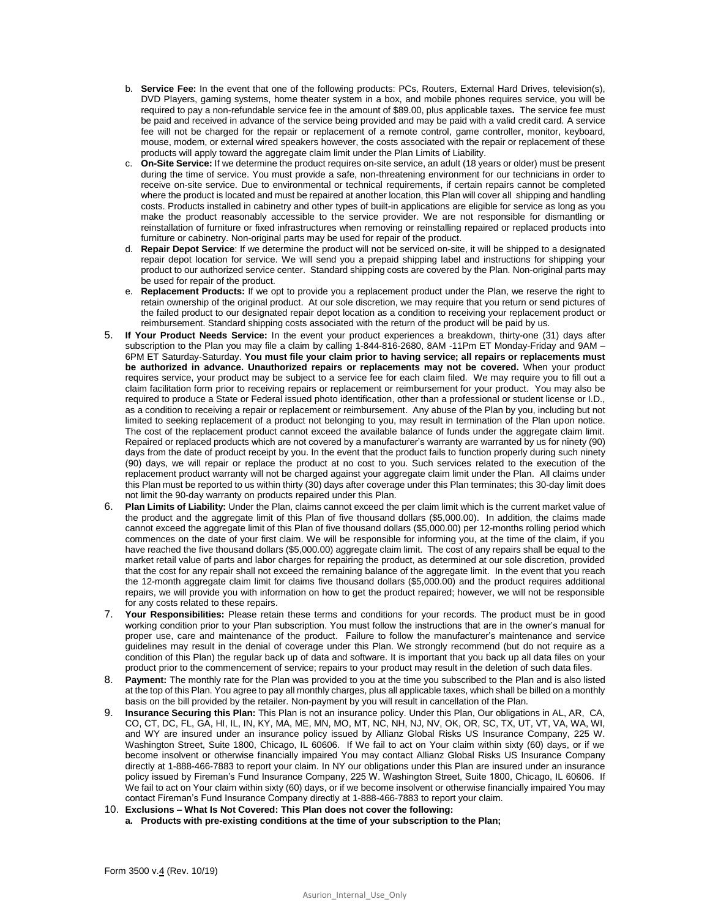- b. **Service Fee:** In the event that one of the following products: PCs, Routers, External Hard Drives, television(s), DVD Players, gaming systems, home theater system in a box, and mobile phones requires service, you will be required to pay a non-refundable service fee in the amount of \$89.00, plus applicable taxes**.** The service fee must be paid and received in advance of the service being provided and may be paid with a valid credit card. A service fee will not be charged for the repair or replacement of a remote control, game controller, monitor, keyboard, mouse, modem, or external wired speakers however, the costs associated with the repair or replacement of these products will apply toward the aggregate claim limit under the Plan Limits of Liability.
- c. **On-Site Service:** If we determine the product requires on-site service, an adult (18 years or older) must be present during the time of service. You must provide a safe, non-threatening environment for our technicians in order to receive on-site service. Due to environmental or technical requirements, if certain repairs cannot be completed where the product is located and must be repaired at another location, this Plan will cover all shipping and handling costs. Products installed in cabinetry and other types of built-in applications are eligible for service as long as you make the product reasonably accessible to the service provider. We are not responsible for dismantling or reinstallation of furniture or fixed infrastructures when removing or reinstalling repaired or replaced products into furniture or cabinetry. Non-original parts may be used for repair of the product.
- d. **Repair Depot Service**: If we determine the product will not be serviced on-site, it will be shipped to a designated repair depot location for service. We will send you a prepaid shipping label and instructions for shipping your product to our authorized service center. Standard shipping costs are covered by the Plan. Non-original parts may be used for repair of the product.
- e. **Replacement Products:** If we opt to provide you a replacement product under the Plan, we reserve the right to retain ownership of the original product. At our sole discretion, we may require that you return or send pictures of the failed product to our designated repair depot location as a condition to receiving your replacement product or reimbursement. Standard shipping costs associated with the return of the product will be paid by us.
- 5. **If Your Product Needs Service:** In the event your product experiences a breakdown, thirty-one (31) days after subscription to the Plan you may file a claim by calling 1-844-816-2680, 8AM -11Pm ET Monday-Friday and 9AM – 6PM ET Saturday-Saturday. **You must file your claim prior to having service; all repairs or replacements must be authorized in advance. Unauthorized repairs or replacements may not be covered.** When your product requires service, your product may be subject to a service fee for each claim filed. We may require you to fill out a claim facilitation form prior to receiving repairs or replacement or reimbursement for your product. You may also be required to produce a State or Federal issued photo identification, other than a professional or student license or I.D., as a condition to receiving a repair or replacement or reimbursement. Any abuse of the Plan by you, including but not limited to seeking replacement of a product not belonging to you, may result in termination of the Plan upon notice. The cost of the replacement product cannot exceed the available balance of funds under the aggregate claim limit. Repaired or replaced products which are not covered by a manufacturer's warranty are warranted by us for ninety (90) days from the date of product receipt by you. In the event that the product fails to function properly during such ninety (90) days, we will repair or replace the product at no cost to you. Such services related to the execution of the replacement product warranty will not be charged against your aggregate claim limit under the Plan. All claims under this Plan must be reported to us within thirty (30) days after coverage under this Plan terminates; this 30-day limit does not limit the 90-day warranty on products repaired under this Plan.
- 6. **Plan Limits of Liability:** Under the Plan, claims cannot exceed the per claim limit which is the current market value of the product and the aggregate limit of this Plan of five thousand dollars (\$5,000.00). In addition, the claims made cannot exceed the aggregate limit of this Plan of five thousand dollars (\$5,000.00) per 12-months rolling period which commences on the date of your first claim. We will be responsible for informing you, at the time of the claim, if you have reached the five thousand dollars (\$5,000.00) aggregate claim limit. The cost of any repairs shall be equal to the market retail value of parts and labor charges for repairing the product, as determined at our sole discretion, provided that the cost for any repair shall not exceed the remaining balance of the aggregate limit. In the event that you reach the 12-month aggregate claim limit for claims five thousand dollars (\$5,000.00) and the product requires additional repairs, we will provide you with information on how to get the product repaired; however, we will not be responsible for any costs related to these repairs.
- 7. **Your Responsibilities:** Please retain these terms and conditions for your records. The product must be in good working condition prior to your Plan subscription. You must follow the instructions that are in the owner's manual for proper use, care and maintenance of the product. Failure to follow the manufacturer's maintenance and service guidelines may result in the denial of coverage under this Plan. We strongly recommend (but do not require as a condition of this Plan) the regular back up of data and software. It is important that you back up all data files on your product prior to the commencement of service; repairs to your product may result in the deletion of such data files.
- 8. **Payment:** The monthly rate for the Plan was provided to you at the time you subscribed to the Plan and is also listed at the top of this Plan. You agree to pay all monthly charges, plus all applicable taxes, which shall be billed on a monthly basis on the bill provided by the retailer. Non-payment by you will result in cancellation of the Plan.
- 9. **Insurance Securing this Plan:** This Plan is not an insurance policy. Under this Plan, Our obligations in AL, AR, CA, CO, CT, DC, FL, GA, HI, IL, IN, KY, MA, ME, MN, MO, MT, NC, NH, NJ, NV, OK, OR, SC, TX, UT, VT, VA, WA, WI, and WY are insured under an insurance policy issued by Allianz Global Risks US Insurance Company, 225 W. Washington Street, Suite 1800, Chicago, IL 60606. If We fail to act on Your claim within sixty (60) days, or if we become insolvent or otherwise financially impaired You may contact Allianz Global Risks US Insurance Company directly at 1-888-466-7883 to report your claim. In NY our obligations under this Plan are insured under an insurance policy issued by Fireman's Fund Insurance Company, 225 W. Washington Street, Suite 1800, Chicago, IL 60606. If We fail to act on Your claim within sixty (60) days, or if we become insolvent or otherwise financially impaired You may contact Fireman's Fund Insurance Company directly at 1-888-466-7883 to report your claim.
- 10. **Exclusions – What Is Not Covered: This Plan does not cover the following:**
	- **a. Products with pre-existing conditions at the time of your subscription to the Plan;**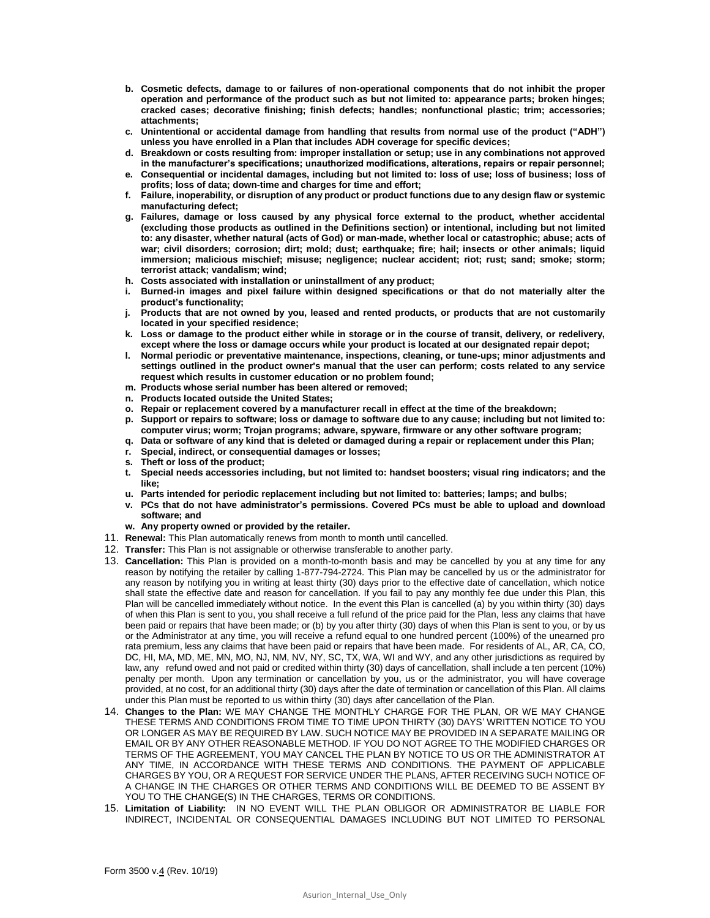- **b. Cosmetic defects, damage to or failures of non-operational components that do not inhibit the proper operation and performance of the product such as but not limited to: appearance parts; broken hinges; cracked cases; decorative finishing; finish defects; handles; nonfunctional plastic; trim; accessories; attachments;**
- **c. Unintentional or accidental damage from handling that results from normal use of the product ("ADH") unless you have enrolled in a Plan that includes ADH coverage for specific devices;**
- **d. Breakdown or costs resulting from: improper installation or setup; use in any combinations not approved in the manufacturer's specifications; unauthorized modifications, alterations, repairs or repair personnel;**
- **e. Consequential or incidental damages, including but not limited to: loss of use; loss of business; loss of profits; loss of data; down-time and charges for time and effort;**
- **f. Failure, inoperability, or disruption of any product or product functions due to any design flaw or systemic manufacturing defect;**
- **g. Failures, damage or loss caused by any physical force external to the product, whether accidental (excluding those products as outlined in the Definitions section) or intentional, including but not limited to: any disaster, whether natural (acts of God) or man-made, whether local or catastrophic; abuse; acts of war; civil disorders; corrosion; dirt; mold; dust; earthquake; fire; hail; insects or other animals; liquid immersion; malicious mischief; misuse; negligence; nuclear accident; riot; rust; sand; smoke; storm; terrorist attack; vandalism; wind;**
- **h. Costs associated with installation or uninstallment of any product;**
- **i. Burned-in images and pixel failure within designed specifications or that do not materially alter the product's functionality;**
- **j. Products that are not owned by you, leased and rented products, or products that are not customarily located in your specified residence;**
- **k. Loss or damage to the product either while in storage or in the course of transit, delivery, or redelivery, except where the loss or damage occurs while your product is located at our designated repair depot;**
- **l. Normal periodic or preventative maintenance, inspections, cleaning, or tune-ups; minor adjustments and settings outlined in the product owner's manual that the user can perform; costs related to any service request which results in customer education or no problem found;**
- **m. Products whose serial number has been altered or removed;**
- **n. Products located outside the United States;**
- **o. Repair or replacement covered by a manufacturer recall in effect at the time of the breakdown;**
- **p. Support or repairs to software; loss or damage to software due to any cause; including but not limited to: computer virus; worm; Trojan programs; adware, spyware, firmware or any other software program;**
- **q. Data or software of any kind that is deleted or damaged during a repair or replacement under this Plan;**
- **r. Special, indirect, or consequential damages or losses;**
- **s. Theft or loss of the product;**
- **t. Special needs accessories including, but not limited to: handset boosters; visual ring indicators; and the like;**
- **u. Parts intended for periodic replacement including but not limited to: batteries; lamps; and bulbs;**
- **v. PCs that do not have administrator's permissions. Covered PCs must be able to upload and download software; and**
- **w. Any property owned or provided by the retailer.**
- 11. **Renewal:** This Plan automatically renews from month to month until cancelled.
- 12. **Transfer:** This Plan is not assignable or otherwise transferable to another party.
- 13. **Cancellation:** This Plan is provided on a month-to-month basis and may be cancelled by you at any time for any reason by notifying the retailer by calling 1-877-794-2724. This Plan may be cancelled by us or the administrator for any reason by notifying you in writing at least thirty (30) days prior to the effective date of cancellation, which notice shall state the effective date and reason for cancellation. If you fail to pay any monthly fee due under this Plan, this Plan will be cancelled immediately without notice. In the event this Plan is cancelled (a) by you within thirty (30) days of when this Plan is sent to you, you shall receive a full refund of the price paid for the Plan, less any claims that have been paid or repairs that have been made; or (b) by you after thirty (30) days of when this Plan is sent to you, or by us or the Administrator at any time, you will receive a refund equal to one hundred percent (100%) of the unearned pro rata premium, less any claims that have been paid or repairs that have been made. For residents of AL, AR, CA, CO, DC, HI, MA, MD, ME, MN, MO, NJ, NM, NV, NY, SC, TX, WA, WI and WY, and any other jurisdictions as required by law, any refund owed and not paid or credited within thirty (30) days of cancellation, shall include a ten percent (10%) penalty per month. Upon any termination or cancellation by you, us or the administrator, you will have coverage provided, at no cost, for an additional thirty (30) days after the date of termination or cancellation of this Plan. All claims under this Plan must be reported to us within thirty (30) days after cancellation of the Plan.
- 14. **Changes to the Plan:** WE MAY CHANGE THE MONTHLY CHARGE FOR THE PLAN, OR WE MAY CHANGE THESE TERMS AND CONDITIONS FROM TIME TO TIME UPON THIRTY (30) DAYS' WRITTEN NOTICE TO YOU OR LONGER AS MAY BE REQUIRED BY LAW. SUCH NOTICE MAY BE PROVIDED IN A SEPARATE MAILING OR EMAIL OR BY ANY OTHER REASONABLE METHOD. IF YOU DO NOT AGREE TO THE MODIFIED CHARGES OR TERMS OF THE AGREEMENT, YOU MAY CANCEL THE PLAN BY NOTICE TO US OR THE ADMINISTRATOR AT ANY TIME, IN ACCORDANCE WITH THESE TERMS AND CONDITIONS. THE PAYMENT OF APPLICABLE CHARGES BY YOU, OR A REQUEST FOR SERVICE UNDER THE PLANS, AFTER RECEIVING SUCH NOTICE OF A CHANGE IN THE CHARGES OR OTHER TERMS AND CONDITIONS WILL BE DEEMED TO BE ASSENT BY YOU TO THE CHANGE(S) IN THE CHARGES, TERMS OR CONDITIONS.
- 15. **Limitation of Liability:** IN NO EVENT WILL THE PLAN OBLIGOR OR ADMINISTRATOR BE LIABLE FOR INDIRECT, INCIDENTAL OR CONSEQUENTIAL DAMAGES INCLUDING BUT NOT LIMITED TO PERSONAL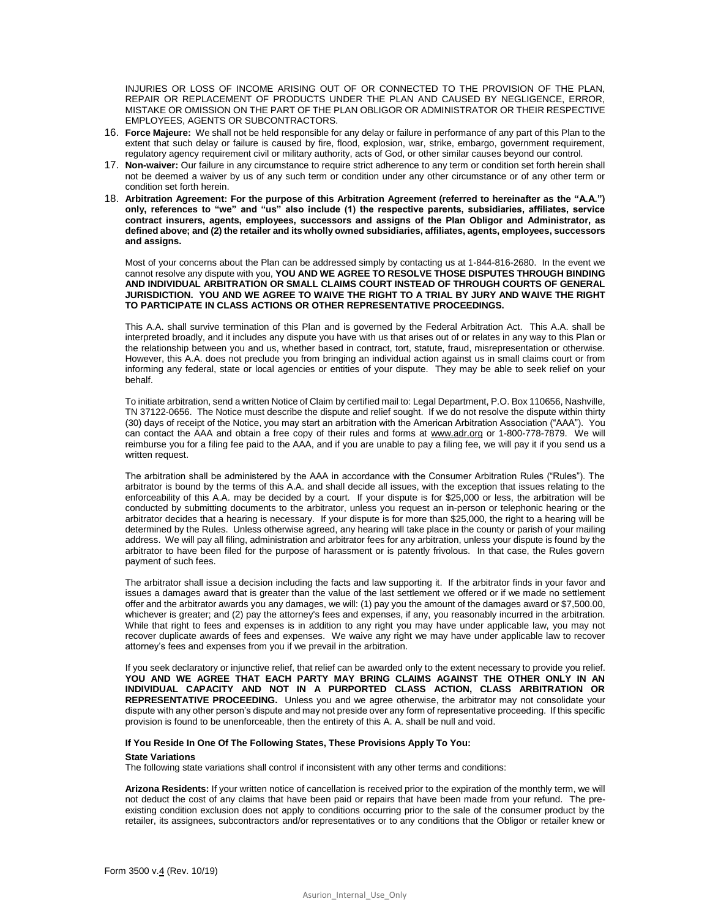INJURIES OR LOSS OF INCOME ARISING OUT OF OR CONNECTED TO THE PROVISION OF THE PLAN, REPAIR OR REPLACEMENT OF PRODUCTS UNDER THE PLAN AND CAUSED BY NEGLIGENCE, ERROR, MISTAKE OR OMISSION ON THE PART OF THE PLAN OBLIGOR OR ADMINISTRATOR OR THEIR RESPECTIVE EMPLOYEES, AGENTS OR SUBCONTRACTORS.

- 16. **Force Majeure:** We shall not be held responsible for any delay or failure in performance of any part of this Plan to the extent that such delay or failure is caused by fire, flood, explosion, war, strike, embargo, government requirement, regulatory agency requirement civil or military authority, acts of God, or other similar causes beyond our control.
- 17. **Non-waiver:** Our failure in any circumstance to require strict adherence to any term or condition set forth herein shall not be deemed a waiver by us of any such term or condition under any other circumstance or of any other term or condition set forth herein.
- 18. **Arbitration Agreement: For the purpose of this Arbitration Agreement (referred to hereinafter as the "A.A.") only, references to "we" and "us" also include (1) the respective parents, subsidiaries, affiliates, service contract insurers, agents, employees, successors and assigns of the Plan Obligor and Administrator, as defined above; and (2) the retailer and its wholly owned subsidiaries, affiliates, agents, employees, successors and assigns.**

Most of your concerns about the Plan can be addressed simply by contacting us at 1-844-816-2680. In the event we cannot resolve any dispute with you, **YOU AND WE AGREE TO RESOLVE THOSE DISPUTES THROUGH BINDING AND INDIVIDUAL ARBITRATION OR SMALL CLAIMS COURT INSTEAD OF THROUGH COURTS OF GENERAL JURISDICTION. YOU AND WE AGREE TO WAIVE THE RIGHT TO A TRIAL BY JURY AND WAIVE THE RIGHT TO PARTICIPATE IN CLASS ACTIONS OR OTHER REPRESENTATIVE PROCEEDINGS.** 

This A.A. shall survive termination of this Plan and is governed by the Federal Arbitration Act. This A.A. shall be interpreted broadly, and it includes any dispute you have with us that arises out of or relates in any way to this Plan or the relationship between you and us, whether based in contract, tort, statute, fraud, misrepresentation or otherwise. However, this A.A. does not preclude you from bringing an individual action against us in small claims court or from informing any federal, state or local agencies or entities of your dispute. They may be able to seek relief on your behalf.

To initiate arbitration, send a written Notice of Claim by certified mail to: Legal Department, P.O. Box 110656, Nashville, TN 37122-0656. The Notice must describe the dispute and relief sought. If we do not resolve the dispute within thirty (30) days of receipt of the Notice, you may start an arbitration with the American Arbitration Association ("AAA"). You can contact the AAA and obtain a free copy of their rules and forms at [www.adr.org](http://www.adr.org/) or 1-800-778-7879. We will reimburse you for a filing fee paid to the AAA, and if you are unable to pay a filing fee, we will pay it if you send us a written request.

The arbitration shall be administered by the AAA in accordance with the Consumer Arbitration Rules ("Rules"). The arbitrator is bound by the terms of this A.A. and shall decide all issues, with the exception that issues relating to the enforceability of this A.A. may be decided by a court. If your dispute is for \$25,000 or less, the arbitration will be conducted by submitting documents to the arbitrator, unless you request an in-person or telephonic hearing or the arbitrator decides that a hearing is necessary. If your dispute is for more than \$25,000, the right to a hearing will be determined by the Rules. Unless otherwise agreed, any hearing will take place in the county or parish of your mailing address. We will pay all filing, administration and arbitrator fees for any arbitration, unless your dispute is found by the arbitrator to have been filed for the purpose of harassment or is patently frivolous. In that case, the Rules govern payment of such fees.

The arbitrator shall issue a decision including the facts and law supporting it. If the arbitrator finds in your favor and issues a damages award that is greater than the value of the last settlement we offered or if we made no settlement offer and the arbitrator awards you any damages, we will: (1) pay you the amount of the damages award or \$7,500.00, whichever is greater; and (2) pay the attorney's fees and expenses, if any, you reasonably incurred in the arbitration. While that right to fees and expenses is in addition to any right you may have under applicable law, you may not recover duplicate awards of fees and expenses. We waive any right we may have under applicable law to recover attorney's fees and expenses from you if we prevail in the arbitration.

If you seek declaratory or injunctive relief, that relief can be awarded only to the extent necessary to provide you relief. **YOU AND WE AGREE THAT EACH PARTY MAY BRING CLAIMS AGAINST THE OTHER ONLY IN AN INDIVIDUAL CAPACITY AND NOT IN A PURPORTED CLASS ACTION, CLASS ARBITRATION OR REPRESENTATIVE PROCEEDING.** Unless you and we agree otherwise, the arbitrator may not consolidate your dispute with any other person's dispute and may not preside over any form of representative proceeding. If this specific provision is found to be unenforceable, then the entirety of this A. A. shall be null and void.

## **If You Reside In One Of The Following States, These Provisions Apply To You:**

## **State Variations**

The following state variations shall control if inconsistent with any other terms and conditions:

**Arizona Residents:** If your written notice of cancellation is received prior to the expiration of the monthly term, we will not deduct the cost of any claims that have been paid or repairs that have been made from your refund. The preexisting condition exclusion does not apply to conditions occurring prior to the sale of the consumer product by the retailer, its assignees, subcontractors and/or representatives or to any conditions that the Obligor or retailer knew or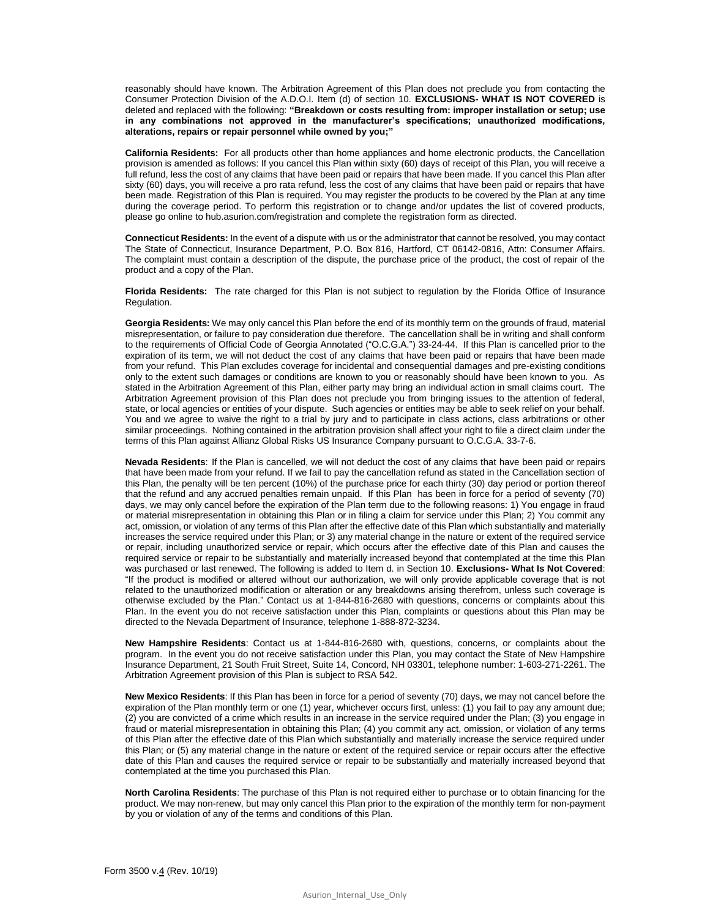reasonably should have known. The Arbitration Agreement of this Plan does not preclude you from contacting the Consumer Protection Division of the A.D.O.I. Item (d) of section 10. **EXCLUSIONS- WHAT IS NOT COVERED** is deleted and replaced with the following: **"Breakdown or costs resulting from: improper installation or setup; use in any combinations not approved in the manufacturer's specifications; unauthorized modifications, alterations, repairs or repair personnel while owned by you;"**

**California Residents:** For all products other than home appliances and home electronic products, the Cancellation provision is amended as follows: If you cancel this Plan within sixty (60) days of receipt of this Plan, you will receive a full refund, less the cost of any claims that have been paid or repairs that have been made. If you cancel this Plan after sixty (60) days, you will receive a pro rata refund, less the cost of any claims that have been paid or repairs that have been made. Registration of this Plan is required. You may register the products to be covered by the Plan at any time during the coverage period. To perform this registration or to change and/or updates the list of covered products, please go online to hub.asurion.com/registration and complete the registration form as directed.

**Connecticut Residents:** In the event of a dispute with us or the administrator that cannot be resolved, you may contact The State of Connecticut, Insurance Department, P.O. Box 816, Hartford, CT 06142-0816, Attn: Consumer Affairs. The complaint must contain a description of the dispute, the purchase price of the product, the cost of repair of the product and a copy of the Plan.

**Florida Residents:** The rate charged for this Plan is not subject to regulation by the Florida Office of Insurance Regulation.

**Georgia Residents:** We may only cancel this Plan before the end of its monthly term on the grounds of fraud, material misrepresentation, or failure to pay consideration due therefore. The cancellation shall be in writing and shall conform to the requirements of Official Code of Georgia Annotated ("O.C.G.A.") 33-24-44. If this Plan is cancelled prior to the expiration of its term, we will not deduct the cost of any claims that have been paid or repairs that have been made from your refund. This Plan excludes coverage for incidental and consequential damages and pre-existing conditions only to the extent such damages or conditions are known to you or reasonably should have been known to you. As stated in the Arbitration Agreement of this Plan, either party may bring an individual action in small claims court. The Arbitration Agreement provision of this Plan does not preclude you from bringing issues to the attention of federal, state, or local agencies or entities of your dispute. Such agencies or entities may be able to seek relief on your behalf. You and we agree to waive the right to a trial by jury and to participate in class actions, class arbitrations or other similar proceedings. Nothing contained in the arbitration provision shall affect your right to file a direct claim under the terms of this Plan against Allianz Global Risks US Insurance Company pursuant to O.C.G.A. 33-7-6.

**Nevada Residents**: If the Plan is cancelled, we will not deduct the cost of any claims that have been paid or repairs that have been made from your refund. If we fail to pay the cancellation refund as stated in the Cancellation section of this Plan, the penalty will be ten percent (10%) of the purchase price for each thirty (30) day period or portion thereof that the refund and any accrued penalties remain unpaid. If this Plan has been in force for a period of seventy (70) days, we may only cancel before the expiration of the Plan term due to the following reasons: 1) You engage in fraud or material misrepresentation in obtaining this Plan or in filing a claim for service under this Plan; 2) You commit any act, omission, or violation of any terms of this Plan after the effective date of this Plan which substantially and materially increases the service required under this Plan; or 3) any material change in the nature or extent of the required service or repair, including unauthorized service or repair, which occurs after the effective date of this Plan and causes the required service or repair to be substantially and materially increased beyond that contemplated at the time this Plan was purchased or last renewed. The following is added to Item d. in Section 10. **Exclusions- What Is Not Covered**: "If the product is modified or altered without our authorization, we will only provide applicable coverage that is not related to the unauthorized modification or alteration or any breakdowns arising therefrom, unless such coverage is otherwise excluded by the Plan." Contact us at 1-844-816-2680 with questions, concerns or complaints about this Plan. In the event you do not receive satisfaction under this Plan, complaints or questions about this Plan may be directed to the Nevada Department of Insurance, telephone 1-888-872-3234.

**New Hampshire Residents**: Contact us at 1-844-816-2680 with, questions, concerns, or complaints about the program. In the event you do not receive satisfaction under this Plan, you may contact the State of New Hampshire Insurance Department, 21 South Fruit Street, Suite 14, Concord, NH 03301, telephone number: 1-603-271-2261. The Arbitration Agreement provision of this Plan is subject to RSA 542.

**New Mexico Residents**: If this Plan has been in force for a period of seventy (70) days, we may not cancel before the expiration of the Plan monthly term or one (1) year, whichever occurs first, unless: (1) you fail to pay any amount due; (2) you are convicted of a crime which results in an increase in the service required under the Plan; (3) you engage in fraud or material misrepresentation in obtaining this Plan; (4) you commit any act, omission, or violation of any terms of this Plan after the effective date of this Plan which substantially and materially increase the service required under this Plan; or (5) any material change in the nature or extent of the required service or repair occurs after the effective date of this Plan and causes the required service or repair to be substantially and materially increased beyond that contemplated at the time you purchased this Plan.

**North Carolina Residents**: The purchase of this Plan is not required either to purchase or to obtain financing for the product. We may non-renew, but may only cancel this Plan prior to the expiration of the monthly term for non-payment by you or violation of any of the terms and conditions of this Plan.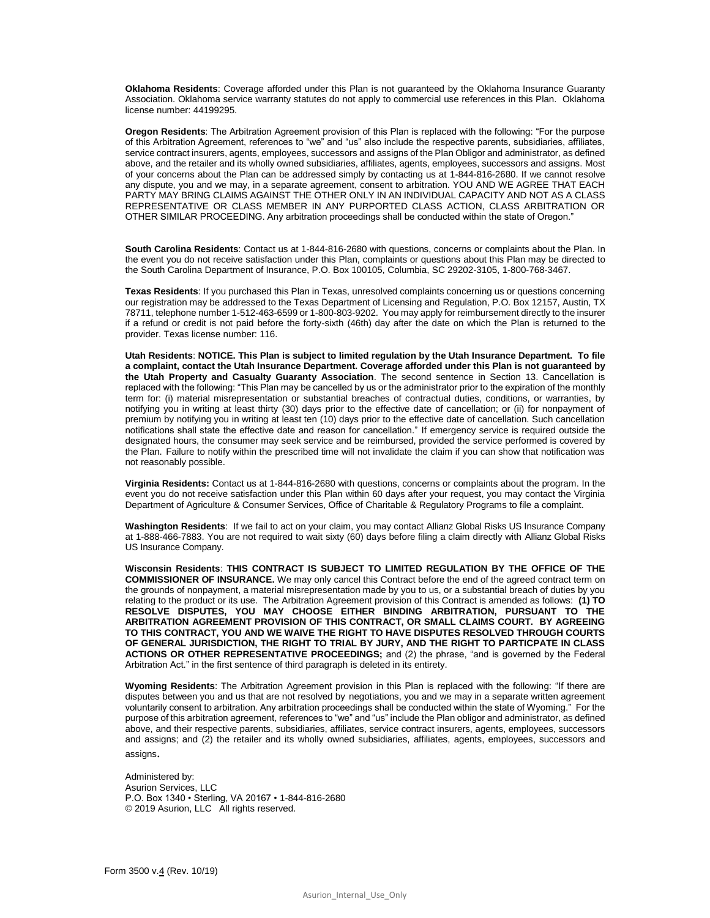**Oklahoma Residents**: Coverage afforded under this Plan is not guaranteed by the Oklahoma Insurance Guaranty Association. Oklahoma service warranty statutes do not apply to commercial use references in this Plan. Oklahoma license number: 44199295.

**Oregon Residents**: The Arbitration Agreement provision of this Plan is replaced with the following: "For the purpose of this Arbitration Agreement, references to "we" and "us" also include the respective parents, subsidiaries, affiliates, service contract insurers, agents, employees, successors and assigns of the Plan Obligor and administrator, as defined above, and the retailer and its wholly owned subsidiaries, affiliates, agents, employees, successors and assigns. Most of your concerns about the Plan can be addressed simply by contacting us at 1-844-816-2680. If we cannot resolve any dispute, you and we may, in a separate agreement, consent to arbitration. YOU AND WE AGREE THAT EACH PARTY MAY BRING CLAIMS AGAINST THE OTHER ONLY IN AN INDIVIDUAL CAPACITY AND NOT AS A CLASS REPRESENTATIVE OR CLASS MEMBER IN ANY PURPORTED CLASS ACTION, CLASS ARBITRATION OR OTHER SIMILAR PROCEEDING. Any arbitration proceedings shall be conducted within the state of Oregon."

**South Carolina Residents**: Contact us at 1-844-816-2680 with questions, concerns or complaints about the Plan. In the event you do not receive satisfaction under this Plan, complaints or questions about this Plan may be directed to the South Carolina Department of Insurance, P.O. Box 100105, Columbia, SC 29202-3105, 1-800-768-3467.

**Texas Residents**: If you purchased this Plan in Texas, unresolved complaints concerning us or questions concerning our registration may be addressed to the Texas Department of Licensing and Regulation, P.O. Box 12157, Austin, TX 78711, telephone number 1-512-463-6599 or 1-800-803-9202. You may apply for reimbursement directly to the insurer if a refund or credit is not paid before the forty-sixth (46th) day after the date on which the Plan is returned to the provider. Texas license number: 116.

**Utah Residents**: **NOTICE. This Plan is subject to limited regulation by the Utah Insurance Department. To file a complaint, contact the Utah Insurance Department. Coverage afforded under this Plan is not guaranteed by the Utah Property and Casualty Guaranty Association**. The second sentence in Section 13. Cancellation is replaced with the following: "This Plan may be cancelled by us or the administrator prior to the expiration of the monthly term for: (i) material misrepresentation or substantial breaches of contractual duties, conditions, or warranties, by notifying you in writing at least thirty (30) days prior to the effective date of cancellation; or (ii) for nonpayment of premium by notifying you in writing at least ten (10) days prior to the effective date of cancellation. Such cancellation notifications shall state the effective date and reason for cancellation." If emergency service is required outside the designated hours, the consumer may seek service and be reimbursed, provided the service performed is covered by the Plan. Failure to notify within the prescribed time will not invalidate the claim if you can show that notification was not reasonably possible.

**Virginia Residents:** Contact us at 1-844-816-2680 with questions, concerns or complaints about the program. In the event you do not receive satisfaction under this Plan within 60 days after your request, you may contact the Virginia Department of Agriculture & Consumer Services, Office of Charitable & Regulatory Programs to file a complaint.

**Washington Residents**: If we fail to act on your claim, you may contact Allianz Global Risks US Insurance Company at 1-888-466-7883. You are not required to wait sixty (60) days before filing a claim directly with Allianz Global Risks US Insurance Company.

**Wisconsin Residents**: **THIS CONTRACT IS SUBJECT TO LIMITED REGULATION BY THE OFFICE OF THE COMMISSIONER OF INSURANCE.** We may only cancel this Contract before the end of the agreed contract term on the grounds of nonpayment, a material misrepresentation made by you to us, or a substantial breach of duties by you relating to the product or its use. The Arbitration Agreement provision of this Contract is amended as follows: **(1) TO RESOLVE DISPUTES, YOU MAY CHOOSE EITHER BINDING ARBITRATION, PURSUANT TO THE ARBITRATION AGREEMENT PROVISION OF THIS CONTRACT, OR SMALL CLAIMS COURT. BY AGREEING TO THIS CONTRACT, YOU AND WE WAIVE THE RIGHT TO HAVE DISPUTES RESOLVED THROUGH COURTS OF GENERAL JURISDICTION, THE RIGHT TO TRIAL BY JURY, AND THE RIGHT TO PARTICPATE IN CLASS ACTIONS OR OTHER REPRESENTATIVE PROCEEDINGS;** and (2) the phrase, "and is governed by the Federal Arbitration Act." in the first sentence of third paragraph is deleted in its entirety.

**Wyoming Residents**: The Arbitration Agreement provision in this Plan is replaced with the following: "If there are disputes between you and us that are not resolved by negotiations, you and we may in a separate written agreement voluntarily consent to arbitration. Any arbitration proceedings shall be conducted within the state of Wyoming." For the purpose of this arbitration agreement, references to "we" and "us" include the Plan obligor and administrator, as defined above, and their respective parents, subsidiaries, affiliates, service contract insurers, agents, employees, successors and assigns; and (2) the retailer and its wholly owned subsidiaries, affiliates, agents, employees, successors and assigns.

Administered by: Asurion Services, LLC P.O. Box 1340 • Sterling, VA 20167 • 1-844-816-2680 © 2019 Asurion, LLC All rights reserved.